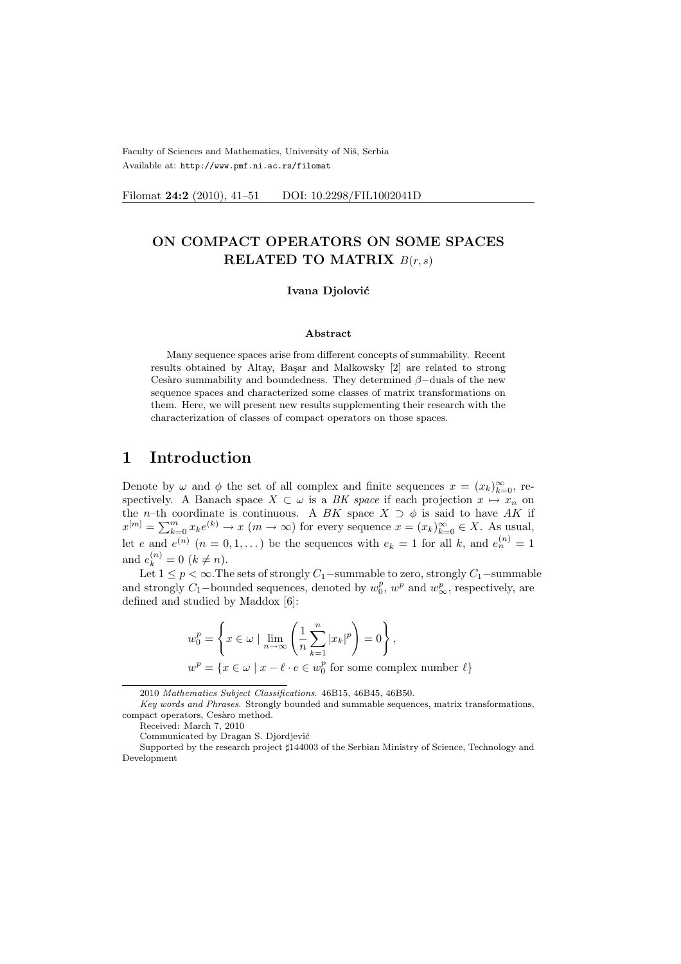Faculty of Sciences and Mathematics, University of Niš, Serbia Available at: http://www.pmf.ni.ac.rs/filomat

Filomat 24:2 (2010), 41-51 DOI: 10.2298/FIL1002041D

# ON COMPACT OPERATORS ON SOME SPACES RELATED TO MATRIX  $B(r, s)$

#### Ivana Djolović

### Abstract

Many sequence spaces arise from different concepts of summability. Recent results obtained by Altay, Başar and Malkowsky [2] are related to strong Cesàro summability and boundedness. They determined  $\beta$ −duals of the new sequence spaces and characterized some classes of matrix transformations on them. Here, we will present new results supplementing their research with the characterization of classes of compact operators on those spaces.

# 1 Introduction

Denote by  $\omega$  and  $\phi$  the set of all complex and finite sequences  $x = (x_k)_{k=0}^{\infty}$ , respectively. A Banach space  $X \subset \omega$  is a BK space if each projection  $x \mapsto x_n$  on the *n*–th coordinate is continuous. A BK space  $X \supset \phi$  is said to have AK if the *n*-th coordinate is continuous. A DA space  $X \supset \emptyset$  is said to have AA if  $x^{[m]} = \sum_{k=0}^{m} x_k e^{(k)} \to x \ (m \to \infty)$  for every sequence  $x = (x_k)_{k=0}^{\infty} \in X$ . As usual, let e and  $e^{(n)}$   $(n = 0, 1, ...)$  be the sequences with  $e_k = 1$  for all k, and  $e^{(n)}_n = 1$ and  $e_k^{(n)} = 0 \ (k \neq n)$ .

Let  $1 \le p < \infty$ . The sets of strongly  $C_1$ −summable to zero, strongly  $C_1$ −summable and strongly  $C_1$ -bounded sequences, denoted by  $w_0^p$ ,  $w^p$  and  $w_\infty^p$ , respectively, are defined and studied by Maddox [6]:

$$
w_0^p = \left\{ x \in \omega \mid \lim_{n \to \infty} \left( \frac{1}{n} \sum_{k=1}^n |x_k|^p \right) = 0 \right\},\,
$$
  

$$
w^p = \left\{ x \in \omega \mid x - \ell \cdot e \in w_0^p \text{ for some complex number } \ell \right\}
$$

<sup>2010</sup> Mathematics Subject Classifications. 46B15, 46B45, 46B50.

Key words and Phrases. Strongly bounded and summable sequences, matrix transformations, compact operators, Cesàro method.

Received: March 7, 2010

Communicated by Dragan S. Djordjević

Supported by the research project  $\sharp 144003$  of the Serbian Ministry of Science, Technology and Development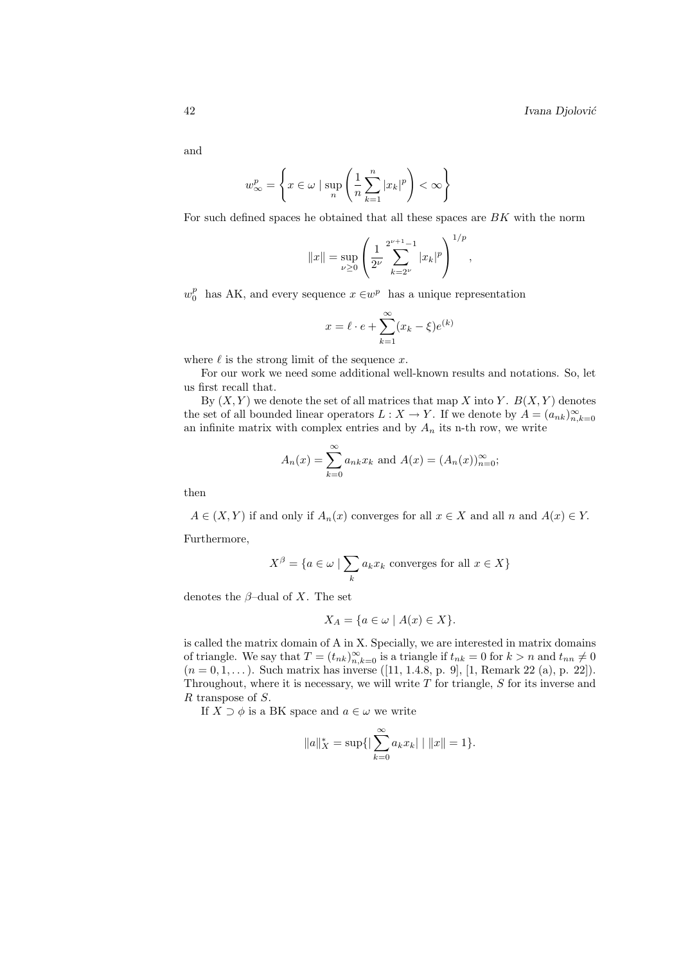and

$$
w_{\infty}^{p} = \left\{ x \in \omega \mid \sup_{n} \left( \frac{1}{n} \sum_{k=1}^{n} |x_{k}|^{p} \right) < \infty \right\}
$$

For such defined spaces he obtained that all these spaces are BK with the norm

$$
||x|| = \sup_{\nu \geq 0} \left( \frac{1}{2^{\nu}} \sum_{k=2^{\nu}}^{2^{\nu+1}-1} |x_k|^p \right)^{1/p},
$$

 $w_0^p$  has AK, and every sequence  $x \in w^p$  has a unique representation

$$
x = \ell \cdot e + \sum_{k=1}^{\infty} (x_k - \xi) e^{(k)}
$$

where  $\ell$  is the strong limit of the sequence x.

For our work we need some additional well-known results and notations. So, let us first recall that.

By  $(X, Y)$  we denote the set of all matrices that map X into Y.  $B(X, Y)$  denotes the set of all bounded linear operators  $L: X \to Y$ . If we denote by  $A = (a_{nk})_{n,k=0}^{\infty}$ an infinite matrix with complex entries and by  $A_n$  its n-th row, we write

$$
A_n(x) = \sum_{k=0}^{\infty} a_{nk} x_k
$$
 and  $A(x) = (A_n(x))_{n=0}^{\infty}$ ;

then

 $A \in (X, Y)$  if and only if  $A_n(x)$  converges for all  $x \in X$  and all n and  $A(x) \in Y$ .

Furthermore,

$$
X^{\beta} = \{ a \in \omega \mid \sum_{k} a_k x_k \text{ converges for all } x \in X \}
$$

denotes the  $\beta$ -dual of X. The set

$$
X_A = \{ a \in \omega \mid A(x) \in X \}.
$$

is called the matrix domain of A in X. Specially, we are interested in matrix domains of triangle. We say that  $T = (t_{nk})_{n,k=0}^{\infty}$  is a triangle if  $t_{nk} = 0$  for  $k > n$  and  $t_{nn} \neq 0$  $(n = 0, 1, \ldots)$ . Such matrix has inverse ([11, 1.4.8, p. 9], [1, Remark 22 (a), p. 22]). Throughout, where it is necessary, we will write T for triangle, S for its inverse and R transpose of S.

If  $X \supset \phi$  is a BK space and  $a \in \omega$  we write

$$
||a||_X^* = \sup\{|\sum_{k=0}^{\infty} a_k x_k| \mid ||x|| = 1\}.
$$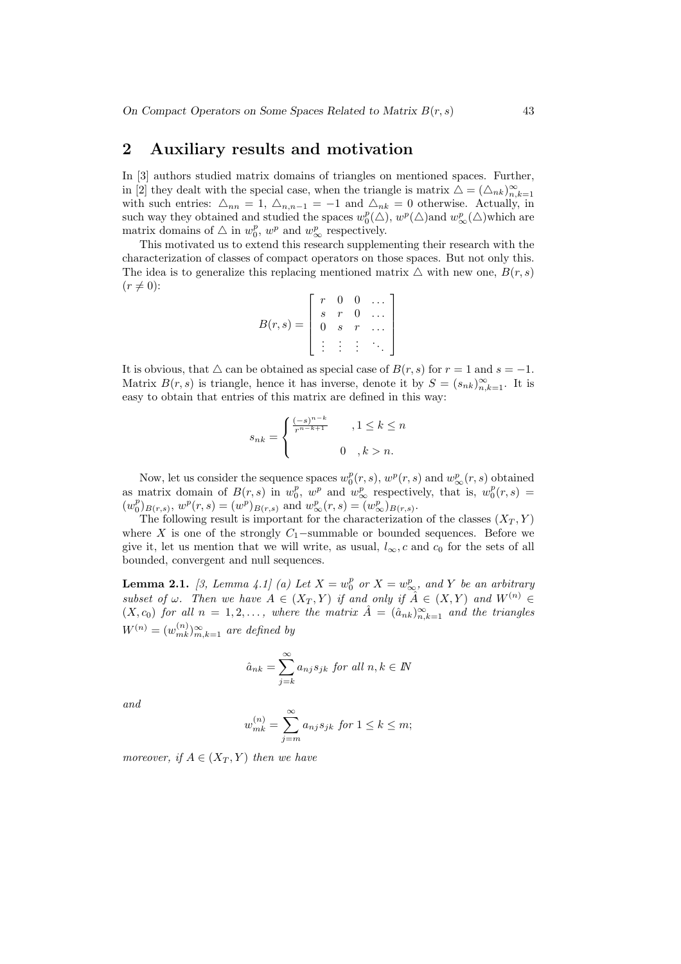## 2 Auxiliary results and motivation

In [3] authors studied matrix domains of triangles on mentioned spaces. Further, in [2] they dealt with the special case, when the triangle is matrix  $\Delta = (\Delta_{nk})_{n,k=1}^{\infty}$ with such entries:  $\Delta_{nn} = 1$ ,  $\Delta_{n,n-1} = -1$  and  $\Delta_{nk} = 0$  otherwise. Actually, in such way they obtained and studied the spaces  $w_0^p(\triangle)$ ,  $w^p(\triangle)$  and  $w_\infty^p(\triangle)$  which are matrix domains of  $\triangle$  in  $w_0^p$ ,  $w^p$  and  $w_\infty^p$  respectively.

This motivated us to extend this research supplementing their research with the characterization of classes of compact operators on those spaces. But not only this. The idea is to generalize this replacing mentioned matrix  $\triangle$  with new one,  $B(r, s)$  $(r \neq 0):$  $\overline{a}$  $\overline{a}$ 

$$
B(r,s) = \left[\begin{array}{cccc} r & 0 & 0 & \dots \\ s & r & 0 & \dots \\ 0 & s & r & \dots \\ \vdots & \vdots & \vdots & \ddots \end{array}\right]
$$

It is obvious, that  $\triangle$  can be obtained as special case of  $B(r, s)$  for  $r = 1$  and  $s = -1$ . Matrix  $B(r, s)$  is triangle, hence it has inverse, denote it by  $S = (s_{nk})_{n,k=1}^{\infty}$ . It is easy to obtain that entries of this matrix are defined in this way:

$$
s_{nk} = \begin{cases} \frac{(-s)^{n-k}}{r^{n-k+1}} & , 1 \le k \le n \\ 0 & , k > n. \end{cases}
$$

Now, let us consider the sequence spaces  $w_0^p(r, s)$ ,  $w^p(r, s)$  and  $w_\infty^p(r, s)$  obtained as matrix domain of  $B(r, s)$  in  $w_0^p$ ,  $w^p$  and  $w_\infty^p$  respectively, that is,  $w_0^p(r, s)$  =  $(w_0^p)_{B(r,s)}, w^p(r,s) = (w^p)_{B(r,s)} \text{ and } w^p_{\infty}(r,s) = (w^p)_{B(r,s)}.$ 

The following result is important for the characterization of the classes  $(X_T, Y)$ where X is one of the strongly  $C_1$ -summable or bounded sequences. Before we give it, let us mention that we will write, as usual,  $l_{\infty}$ , c and  $c_0$  for the sets of all bounded, convergent and null sequences.

**Lemma 2.1.** [3, Lemma 4.1] (a) Let  $X = w_0^p$  or  $X = w_\infty^p$ , and Y be an arbitrary subset of  $\omega$ . Then we have  $A \in (X_T, Y)$  if and only if  $\hat{A} \in (X, Y)$  and  $W^{(n)} \in$  $(X, c_0)$  for all  $n = 1, 2, \ldots$ , where the matrix  $\hat{A} = (\hat{a}_{nk})_{n,k=1}^{\infty}$  and the triangles  $W^{(n)} = (w_{mk}^{(n)})_{m,k=1}^{\infty}$  are defined by

$$
\hat{a}_{nk} = \sum_{j=k}^{\infty} a_{nj} s_{jk} \text{ for all } n, k \in \mathbb{N}
$$

and

$$
w_{mk}^{(n)} = \sum_{j=m}^{\infty} a_{nj} s_{jk} \text{ for } 1 \le k \le m;
$$

moreover, if  $A \in (X_T, Y)$  then we have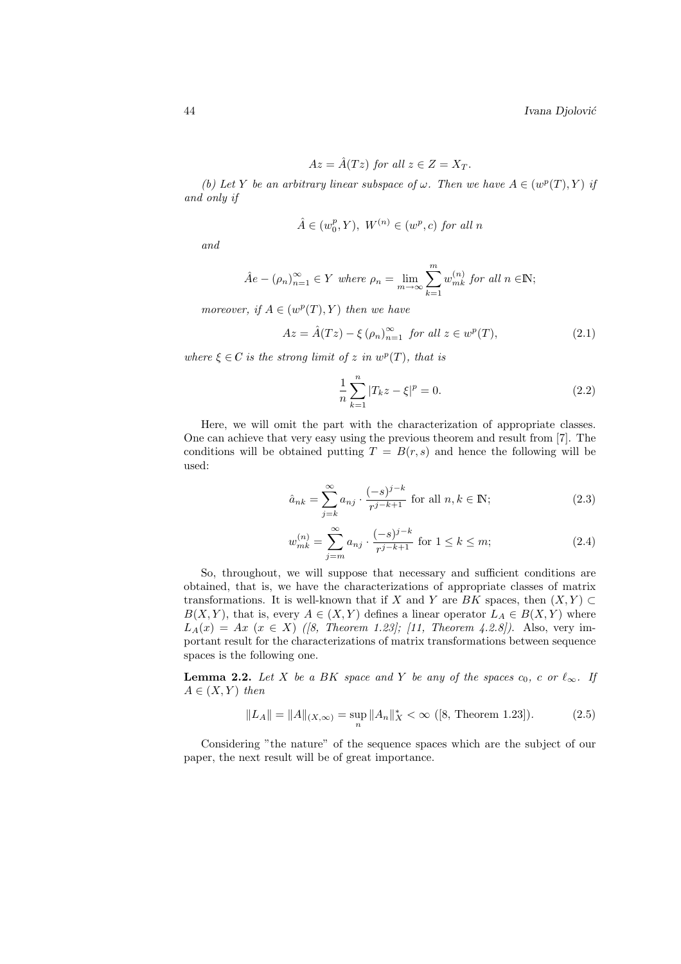$$
Az = \hat{A}(Tz) \text{ for all } z \in Z = X_T.
$$

(b) Let Y be an arbitrary linear subspace of  $\omega$ . Then we have  $A \in (w^p(T), Y)$  if and only if

$$
\hat{A} \in (w_0^p, Y), \ W^{(n)} \in (w^p, c) \text{ for all } n
$$

and

$$
\hat{A}e - (\rho_n)_{n=1}^{\infty} \in Y \text{ where } \rho_n = \lim_{m \to \infty} \sum_{k=1}^{m} w_{mk}^{(n)} \text{ for all } n \in \mathbb{N};
$$

moreover, if  $A \in (w^p(T), Y)$  then we have

$$
Az = \hat{A}(Tz) - \xi \left(\rho_n\right)_{n=1}^{\infty} \text{ for all } z \in w^p(T), \tag{2.1}
$$

where  $\xi \in C$  is the strong limit of z in  $w^p(T)$ , that is

$$
\frac{1}{n}\sum_{k=1}^{n}|T_{k}z-\xi|^{p}=0.
$$
\n(2.2)

Here, we will omit the part with the characterization of appropriate classes. One can achieve that very easy using the previous theorem and result from [7]. The conditions will be obtained putting  $T = B(r, s)$  and hence the following will be used:

$$
\hat{a}_{nk} = \sum_{j=k}^{\infty} a_{nj} \cdot \frac{(-s)^{j-k}}{r^{j-k+1}} \text{ for all } n, k \in \mathbb{N};\tag{2.3}
$$

$$
w_{mk}^{(n)} = \sum_{j=m}^{\infty} a_{nj} \cdot \frac{(-s)^{j-k}}{r^{j-k+1}} \text{ for } 1 \le k \le m; \tag{2.4}
$$

So, throughout, we will suppose that necessary and sufficient conditions are obtained, that is, we have the characterizations of appropriate classes of matrix transformations. It is well-known that if X and Y are BK spaces, then  $(X, Y) \subset$  $B(X, Y)$ , that is, every  $A \in (X, Y)$  defines a linear operator  $L_A \in B(X, Y)$  where  $L_A(x) = Ax \ (x \in X)$  ([8, Theorem 1.23]; [11, Theorem 4.2.8]). Also, very important result for the characterizations of matrix transformations between sequence spaces is the following one.

**Lemma 2.2.** Let X be a BK space and Y be any of the spaces  $c_0$ , c or  $\ell_{\infty}$ . If  $A \in (X, Y)$  then

$$
||L_A|| = ||A||_{(X,\infty)} = \sup_n ||A_n||_X^* < \infty \text{ ([8, Theorem 1.23]).}
$$
 (2.5)

Considering "the nature" of the sequence spaces which are the subject of our paper, the next result will be of great importance.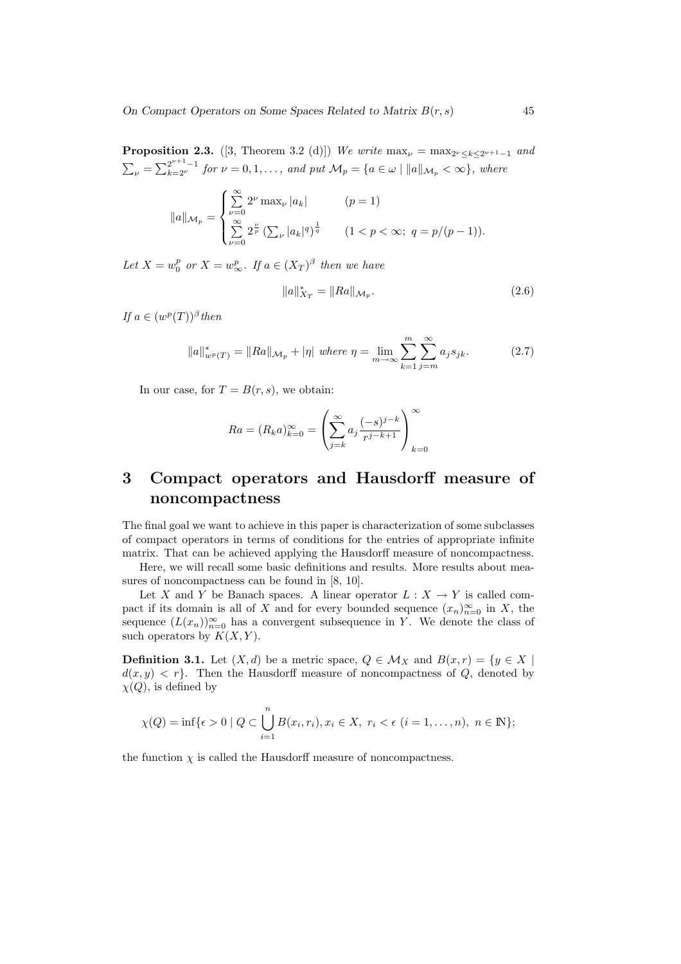**Proposition 2.3.** ([3, Theorem 3.2 (d)]) We write  $\max_{\nu} = \max_{2^{\nu} \leq k \leq 2^{\nu+1}-1}$  and  $\sum_{\nu} = \sum_{k=2^{\nu}}^{2^{\nu+1}-1}$  for  $\nu = 0, 1, \ldots$ , and put  $\mathcal{M}_p = \{a \in \omega \mid ||a||_{\mathcal{M}_p} < \infty\}$ , where

$$
||a||_{\mathcal{M}_p} = \begin{cases} \sum_{\nu=0}^{\infty} 2^{\nu} \max_{\nu} |a_k| & (p = 1) \\ \sum_{\nu=0}^{\infty} 2^{\frac{\nu}{p}} \left( \sum_{\nu} |a_k|^q \right)^{\frac{1}{q}} & (1 < p < \infty; \ q = p/(p-1)). \end{cases}
$$

Let  $X = w_0^p$  or  $X = w_\infty^p$ . If  $a \in (X_T)^\beta$  then we have

$$
||a||_{X_T}^* = ||Ra||_{\mathcal{M}_p}.
$$
\n(2.6)

If  $a \in (w^p(T))^{\beta}$  then

$$
||a||_{w^{p}(T)}^{*} = ||Ra||_{\mathcal{M}_{p}} + |\eta| \text{ where } \eta = \lim_{m \to \infty} \sum_{k=1}^{m} \sum_{j=m}^{\infty} a_{j} s_{jk}.
$$
 (2.7)

In our case, for  $T = B(r, s)$ , we obtain:

$$
Ra = (R_k a)_{k=0}^{\infty} = \left(\sum_{j=k}^{\infty} a_j \frac{(-s)^{j-k}}{r^{j-k+1}}\right)_{k=0}^{\infty}
$$

# 3 Compact operators and Hausdorff measure of noncompactness

The final goal we want to achieve in this paper is characterization of some subclasses of compact operators in terms of conditions for the entries of appropriate infinite matrix. That can be achieved applying the Hausdorff measure of noncompactness.

Here, we will recall some basic definitions and results. More results about measures of noncompactness can be found in [8, 10].

Let X and Y be Banach spaces. A linear operator  $L : X \to Y$  is called compact if its domain is all of X and for every bounded sequence  $(x_n)_{n=0}^{\infty}$  in X, the sequence  $(L(x_n))_{n=0}^{\infty}$  has a convergent subsequence in Y. We denote the class of such operators by  $K(X, Y)$ .

**Definition 3.1.** Let  $(X, d)$  be a metric space,  $Q \in \mathcal{M}_X$  and  $B(x, r) = \{y \in X \mid$  $d(x, y) < r$ . Then the Hausdorff measure of noncompactness of Q, denoted by  $\chi(Q)$ , is defined by

$$
\chi(Q) = \inf \{ \epsilon > 0 \mid Q \subset \bigcup_{i=1}^{n} B(x_i, r_i), x_i \in X, r_i < \epsilon \ (i = 1, ..., n), \ n \in \mathbb{N} \};
$$

the function  $\chi$  is called the Hausdorff measure of noncompactness.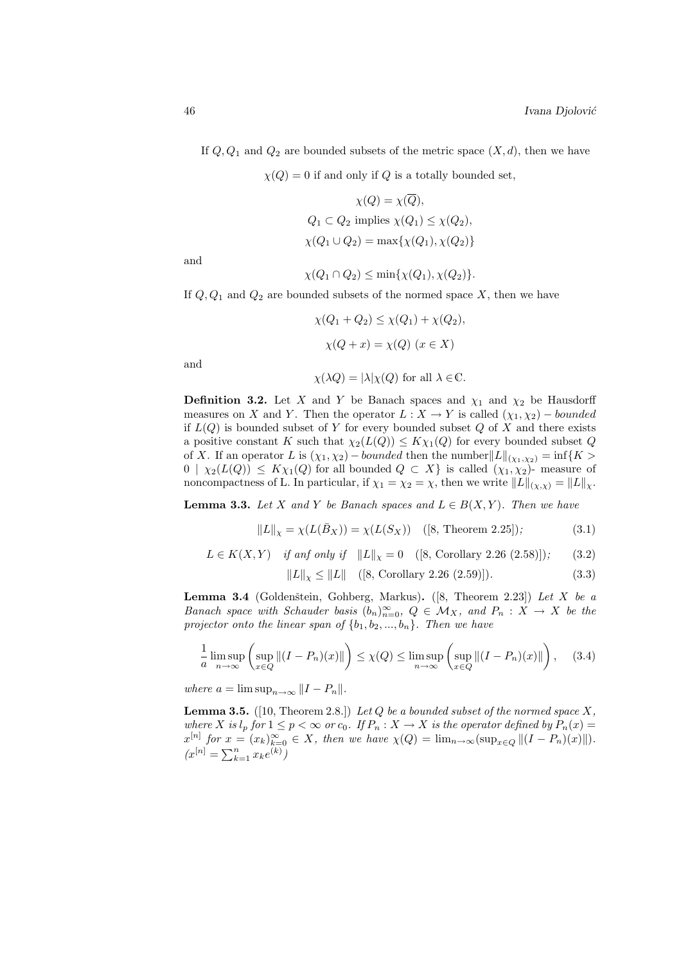If  $Q, Q_1$  and  $Q_2$  are bounded subsets of the metric space  $(X, d)$ , then we have

 $\chi(Q) = 0$  if and only if Q is a totally bounded set,

$$
\chi(Q) = \chi(\overline{Q}),
$$
  
 
$$
Q_1 \subset Q_2 \text{ implies } \chi(Q_1) \leq \chi(Q_2),
$$
  
 
$$
\chi(Q_1 \cup Q_2) = \max{\{\chi(Q_1), \chi(Q_2)\}}
$$

and

$$
\chi(Q_1 \cap Q_2) \le \min\{\chi(Q_1), \chi(Q_2)\}.
$$

If  $Q$ ,  $Q_1$  and  $Q_2$  are bounded subsets of the normed space X, then we have

$$
\chi(Q_1 + Q_2) \le \chi(Q_1) + \chi(Q_2),
$$
  

$$
\chi(Q + x) = \chi(Q) \ (x \in X)
$$

and

$$
\chi(\lambda Q) = |\lambda|\chi(Q) \text{ for all } \lambda \in \mathbb{C}.
$$

**Definition 3.2.** Let X and Y be Banach spaces and  $\chi_1$  and  $\chi_2$  be Hausdorff measures on X and Y. Then the operator  $L : X \to Y$  is called  $(\chi_1, \chi_2)$  – bounded if  $L(Q)$  is bounded subset of Y for every bounded subset  $Q$  of X and there exists a positive constant K such that  $\chi_2(L(Q)) \leq K \chi_1(Q)$  for every bounded subset Q of X. If an operator L is  $(\chi_1, \chi_2)$  – bounded then the number  $||L||_{(\chi_1, \chi_2)} = \inf\{K >$  $0 | \chi_2(L(Q)) \leq K \chi_1(Q)$  for all bounded  $Q \subset X$  is called  $(\chi_1, \chi_2)$ - measure of noncompactness of L. In particular, if  $\chi_1 = \chi_2 = \chi$ , then we write  $||L||_{(\chi,\chi)} = ||L||_{\chi}$ .

**Lemma 3.3.** Let X and Y be Banach spaces and  $L \in B(X, Y)$ . Then we have

$$
||L||_X = \chi(L(\bar{B}_X)) = \chi(L(S_X))
$$
 ([8, Theorem 2.25]); (3.1)

$$
L \in K(X, Y) \quad \text{if and only if} \quad \|L\|_{\chi} = 0 \quad ([8, Corollary 2.26 (2.58)]); \tag{3.2}
$$

$$
||L||_X \le ||L|| \quad ([8, Corollary 2.26 (2.59)]). \tag{3.3}
$$

**Lemma 3.4** (Goldenštein, Gohberg, Markus). ([8, Theorem 2.23]) Let X be a Banach space with Schauder basis  $(b_n)_{n=0}^{\infty}$ ,  $Q \in M_X$ , and  $P_n : X \to X$  be the projector onto the linear span of  $\{b_1, b_2, ..., b_n\}$ . Then we have

$$
\frac{1}{a}\limsup_{n\to\infty}\left(\sup_{x\in Q}\|(I-P_n)(x)\|\right)\leq \chi(Q)\leq \limsup_{n\to\infty}\left(\sup_{x\in Q}\|(I-P_n)(x)\|\right),\quad(3.4)
$$

where  $a = \limsup_{n \to \infty} ||I - P_n||$ .

**Lemma 3.5.** ([10, Theorem 2.8.]) Let  $Q$  be a bounded subset of the normed space  $X$ , where X is  $l_p$  for  $1 \leq p < \infty$  or  $c_0$ . If  $P_n : X \to X$  is the operator defined by  $P_n(x) =$  $x^{[n]}$  for  $x = (x_k)_{k=0}^{\infty} \in X$ , then we have  $\chi(Q) = \lim_{n \to \infty} (\sup_{x \in Q} ||(I - P_n)(x)||)$ .  $(x^{[n]} = \sum_{k=1}^{n} x_k e^{(k)} )$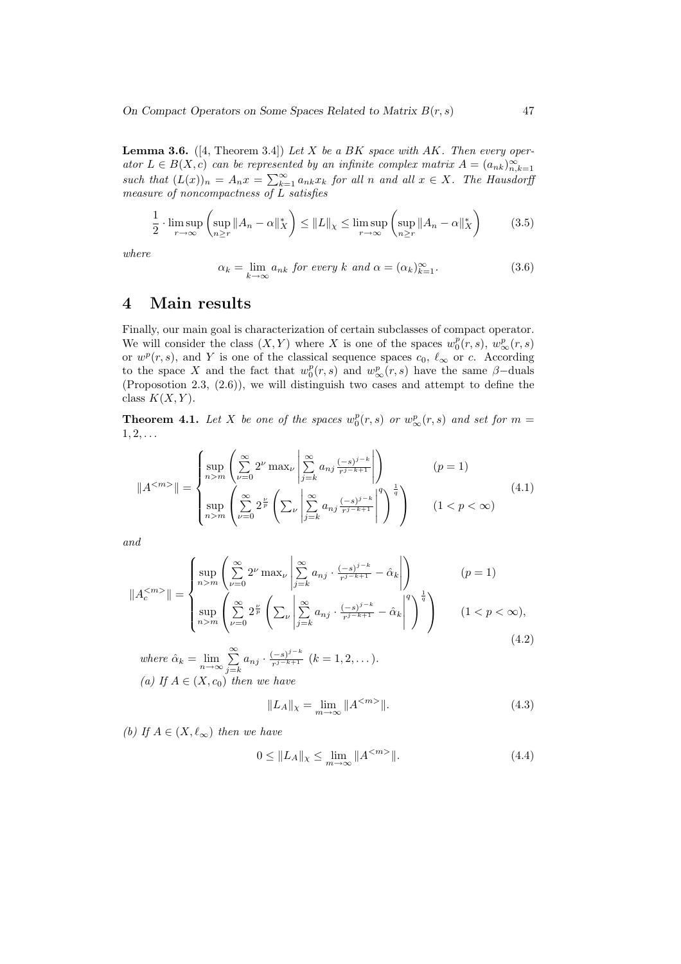**Lemma 3.6.** ([4, Theorem 3.4]) Let X be a BK space with AK. Then every operator  $L \in B(X, c)$  can be represented by an infinite complex matrix  $A = (a_{nk})_{n,k=1}^{\infty}$ such that  $(L(x))_n = A_n x = \sum_{k=1}^{\infty} a_{nk} x_k$  for all n and all  $x \in X$ . The Hausdorff measure of noncompactness of L satisfies

$$
\frac{1}{2} \cdot \limsup_{r \to \infty} \left( \sup_{n \ge r} \|A_n - \alpha\|_X^* \right) \le \|L\|_X \le \limsup_{r \to \infty} \left( \sup_{n \ge r} \|A_n - \alpha\|_X^* \right) \tag{3.5}
$$

where

$$
\alpha_k = \lim_{k \to \infty} a_{nk} \text{ for every } k \text{ and } \alpha = (\alpha_k)_{k=1}^{\infty}.
$$
 (3.6)

## 4 Main results

Finally, our main goal is characterization of certain subclasses of compact operator. We will consider the class  $(X, Y)$  where X is one of the spaces  $w_0^p(r, s)$ ,  $w_\infty^p(r, s)$ or  $w^p(r, s)$ , and Y is one of the classical sequence spaces  $c_0, \ell_\infty$  or c. According to the space X and the fact that  $w_0^p(r,s)$  and  $w_\infty^p(r,s)$  have the same  $\beta$ -duals (Proposotion 2.3, (2.6)), we will distinguish two cases and attempt to define the class  $K(X, Y)$ .

**Theorem 4.1.** Let X be one of the spaces  $w_0^p(r,s)$  or  $w_\infty^p(r,s)$  and set for  $m=$  $1, 2, \ldots$ 

$$
||A^{}|| = \begin{cases} \sup_{n>m} \left( \sum_{\nu=0}^{\infty} 2^{\nu} \max_{\nu} \left| \sum_{j=k}^{\infty} a_{nj} \frac{(-s)^{j-k}}{r^{j-k+1}} \right| \right) & (p = 1) \\ \sup_{n>m} \left( \sum_{\nu=0}^{\infty} 2^{\frac{\nu}{p}} \left( \sum_{\nu} \left| \sum_{j=k}^{\infty} a_{nj} \frac{(-s)^{j-k}}{r^{j-k+1}} \right|^{q} \right)^{\frac{1}{q}} \right) & (1 < p < \infty) \end{cases}
$$
(4.1)

and

$$
||A_c^{}|| = \begin{cases} \sup_{n>m} \left( \sum_{\nu=0}^{\infty} 2^{\nu} \max_{\nu} \left| \sum_{j=k}^{\infty} a_{nj} \cdot \frac{(-s)^{j-k}}{r^{j-k+1}} - \hat{\alpha}_k \right| \right) & (p = 1) \\ \sup_{n>m} \left( \sum_{\nu=0}^{\infty} 2^{\frac{\nu}{p}} \left( \sum_{\nu} \left| \sum_{j=k}^{\infty} a_{nj} \cdot \frac{(-s)^{j-k}}{r^{j-k+1}} - \hat{\alpha}_k \right|^{q} \right)^{\frac{1}{q}} \right) & (1 < p < \infty), \end{cases}
$$
\n
$$
(4.2)
$$

where  $\hat{\alpha}_k = \lim_{n \to \infty} \sum_{i=1}^{\infty}$  $\sum_{j=k}^{\infty} a_{nj} \cdot \frac{(-s)^{j-k}}{r^{j-k+1}}$  $\frac{(-s)^{j}}{r^{j-k+1}}$   $(k = 1, 2, ...)$ . (a) If  $A \in (X, c_0)$  then we have

$$
||L_A||_{\chi} = \lim_{m \to \infty} ||A^{\langle m \rangle}||. \tag{4.3}
$$

(b) If  $A \in (X, \ell_{\infty})$  then we have

$$
0 \le \|L_A\|_{\chi} \le \lim_{m \to \infty} \|A^{} \|.
$$
\n(4.4)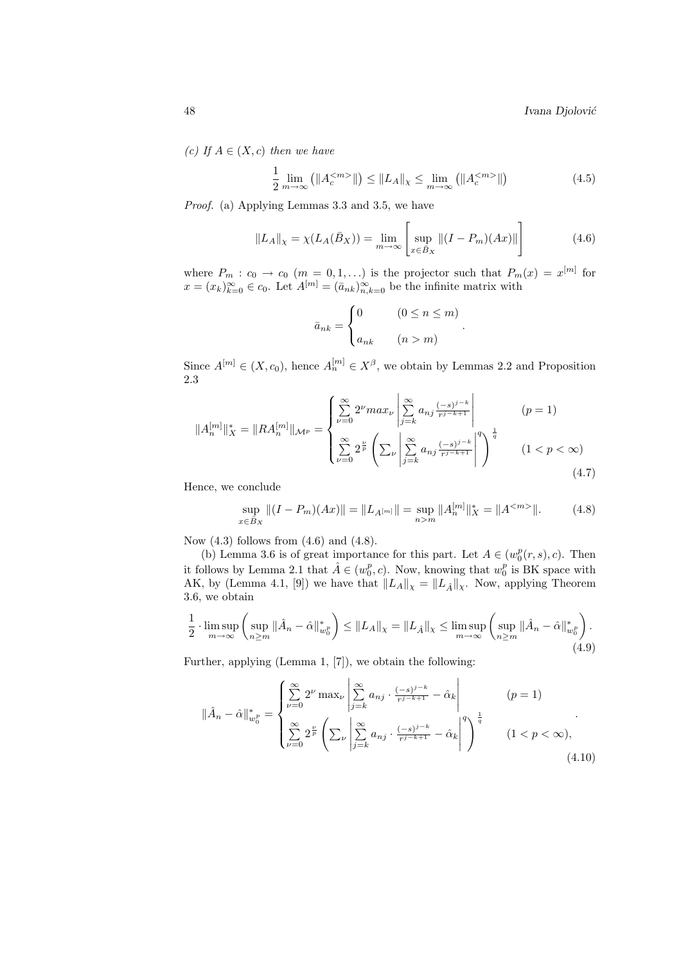(c) If  $A \in (X, c)$  then we have

$$
\frac{1}{2} \lim_{m \to \infty} (||A_c^{}||) \le ||L_A||_{\chi} \le \lim_{m \to \infty} (||A_c^{}||)
$$
\n(4.5)

Proof. (a) Applying Lemmas 3.3 and 3.5, we have

$$
||L_A||_X = \chi(L_A(\bar{B}_X)) = \lim_{m \to \infty} \left[ \sup_{x \in \bar{B}_X} ||(I - P_m)(Ax)|| \right]
$$
(4.6)

.

where  $P_m : c_0 \to c_0$   $(m = 0, 1, ...)$  is the projector such that  $P_m(x) = x^{[m]}$  for  $x = (x_k)_{k=0}^{\infty} \in c_0$ . Let  $A^{[m]} = (\bar{a}_{nk})_{n,k=0}^{\infty}$  be the infinite matrix with

$$
\bar{a}_{nk} = \begin{cases} 0 & (0 \le n \le m) \\ a_{nk} & (n > m) \end{cases}
$$

Since  $A^{[m]} \in (X, c_0)$ , hence  $A^{[m]}_n \in X^{\beta}$ , we obtain by Lemmas 2.2 and Proposition 2.3  $\overline{a}$  $\overline{a}$ 

$$
||A_n^{[m]}||_X^* = ||RA_n^{[m]}||_{\mathcal{M}^p} = \begin{cases} \sum_{\nu=0}^{\infty} 2^{\nu} \max_{\nu} \left| \sum_{j=k}^{\infty} a_{nj} \frac{(-s)^{j-k}}{r^{j-k+1}} \right| & (p = 1) \\ \sum_{\nu=0}^{\infty} 2^{\frac{\nu}{p}} \left( \sum_{\nu} \left| \sum_{j=k}^{\infty} a_{nj} \frac{(-s)^{j-k}}{r^{j-k+1}} \right|^q \right)^{\frac{1}{q}} & (1 < p < \infty) \end{cases}
$$
(4.7)

Hence, we conclude

$$
\sup_{x \in \bar{B}_X} ||(I - P_m)(Ax)|| = ||L_{A^{[m]}}|| = \sup_{n>m} ||A_n^{[m]}||_X^* = ||A^{}||.
$$
 (4.8)

Now  $(4.3)$  follows from  $(4.6)$  and  $(4.8)$ .

(b) Lemma 3.6 is of great importance for this part. Let  $A \in (w_0^p(r, s), c)$ . Then it follows by Lemma 2.1 that  $\hat{A} \in (w_0^p, c)$ . Now, knowing that  $w_0^p$  is BK space with AK, by (Lemma 4.1, [9]) we have that  $||L_A||_{\chi} = ||L_{\hat{A}}||_{\chi}$ . Now, applying Theorem 3.6, we obtain

$$
\frac{1}{2} \cdot \limsup_{m \to \infty} \left( \sup_{n \ge m} \|\hat{A}_n - \hat{\alpha}\|_{w_0^p}^* \right) \le \|L_A\|_{\chi} = \|L_{\hat{A}}\|_{\chi} \le \limsup_{m \to \infty} \left( \sup_{n \ge m} \|\hat{A}_n - \hat{\alpha}\|_{w_0^p}^* \right).
$$
\n(4.9)

Further, applying (Lemma 1, [7]), we obtain the following:

 $\overline{a}$ 

$$
\|\hat{A}_n - \hat{\alpha}\|_{w_0^p}^* = \n\begin{cases}\n\sum_{\nu=0}^{\infty} 2^{\nu} \max_{\nu} \left| \sum_{j=k}^{\infty} a_{nj} \cdot \frac{(-s)^{j-k}}{r^{j-k+1}} - \hat{\alpha}_k \right| & (p = 1) \\
\sum_{\nu=0}^{\infty} 2^{\frac{\nu}{p}} \left( \sum_{\nu} \left| \sum_{j=k}^{\infty} a_{nj} \cdot \frac{(-s)^{j-k}}{r^{j-k+1}} - \hat{\alpha}_k \right|^{q} \right)^{\frac{1}{q}} & (1 < p < \infty),\n\end{cases} (4.10)
$$

 $\overline{a}$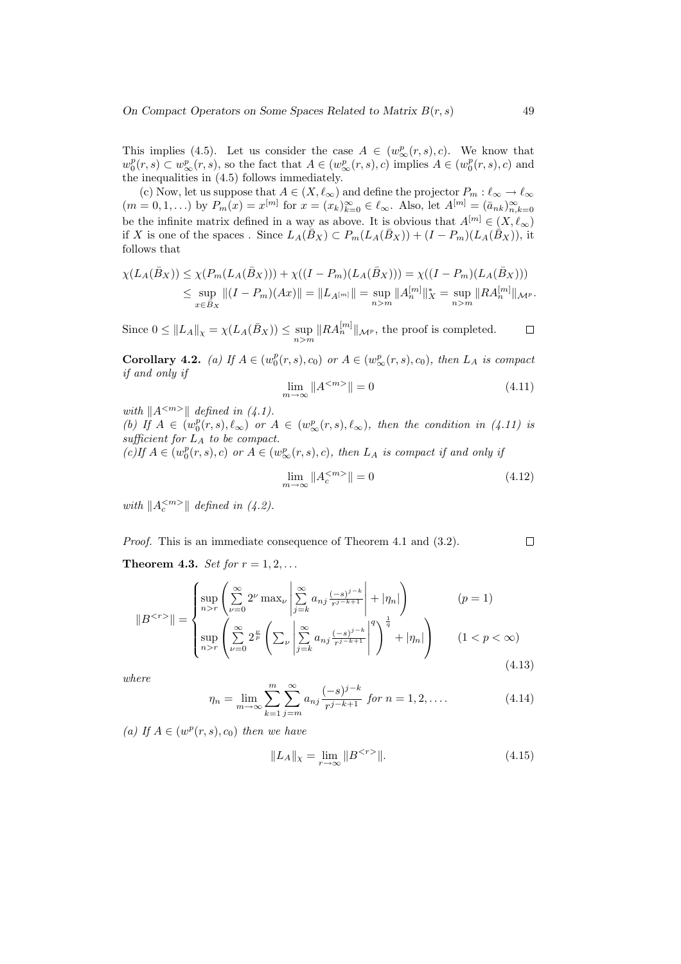This implies (4.5). Let us consider the case  $A \in (w^p_{\infty}(r,s), c)$ . We know that  $w_0^p(r,s) \subset w_\infty^p(r,s)$ , so the fact that  $A \in (w_\infty^p(r,s), c)$  implies  $A \in (w_0^p(r,s), c)$  and the inequalities in (4.5) follows immediately.

(c) Now, let us suppose that  $A \in (X, \ell_{\infty})$  and define the projector  $P_m : \ell_{\infty} \to \ell_{\infty}$  $(m = 0, 1, ...)$  by  $P_m(x) = x^{[m]}$  for  $x = (x_k)_{k=0}^{\infty} \in \ell_{\infty}$ . Also, let  $A^{[m]} = (\bar{a}_{nk})_{n,k=0}^{\infty}$ be the infinite matrix defined in a way as above. It is obvious that  $A^{[m]} \in (X, \ell_{\infty})$ if X is one of the spaces. Since  $L_A(\bar{B}_X) \subset P_m(L_A(\bar{B}_X)) + (I - P_m)(L_A(\bar{B}_X))$ , it follows that

$$
\chi(L_A(\bar{B}_X)) \leq \chi(P_m(L_A(\bar{B}_X))) + \chi((I - P_m)(L_A(\bar{B}_X))) = \chi((I - P_m)(L_A(\bar{B}_X)))
$$
  
\n
$$
\leq \sup_{x \in \bar{B}_X} ||(I - P_m)(Ax)|| = ||L_{A^{[m]}}|| = \sup_{n>m} ||A_n^{[m]||} x = \sup_{n>m} ||R A_n^{[m]}||_{\mathcal{M}^p}.
$$

Since  $0 \leq ||L_A||_{\chi} = \chi(L_A(\bar{B}_X)) \leq \sup_{n>m} ||RA_n^{[m]}||_{\mathcal{M}^p}$ , the proof is completed.  $\Box$ 

**Corollary 4.2.** (a) If  $A \in (w_0^p(r, s), c_0)$  or  $A \in (w_\infty^p(r, s), c_0)$ , then  $L_A$  is compact if and only if

$$
\lim_{m \to \infty} \|A^{< m>} \| = 0 \tag{4.11}
$$

with  $||A^{\langle m \rangle}||$  defined in (4.1).

(b) If  $A \in (w_0^p(r,s), \ell_\infty)$  or  $A \in (w_\infty^p(r,s), \ell_\infty)$ , then the condition in (4.11) is sufficient for  $L_A$  to be compact.

 $(c)$  if  $A \in (w_0^p(r, s), c)$  or  $A \in (w_\infty^p(r, s), c)$ , then  $L_A$  is compact if and only if

$$
\lim_{m \to \infty} \|A_c^{} \| = 0 \tag{4.12}
$$

with  $||A_c^{}||$  defined in (4.2).

Proof. This is an immediate consequence of Theorem 4.1 and (3.2).  $\Box$ 

Theorem 4.3. Set for  $r = 1, 2, \ldots$ 

$$
||B^{}|| = \begin{cases} \sup_{n>r} \left( \sum_{\nu=0}^{\infty} 2^{\nu} \max_{\nu} \left| \sum_{j=k}^{\infty} a_{nj} \frac{(-s)^{j-k}}{r^{j-k+1}} \right| + |\eta_n| \right) & (p = 1) \\ \sup_{n>r} \left( \sum_{\nu=0}^{\infty} 2^{\frac{\nu}{p}} \left( \sum_{\nu} \left| \sum_{j=k}^{\infty} a_{nj} \frac{(-s)^{j-k}}{r^{j-k+1}} \right|^{q} \right)^{\frac{1}{q}} + |\eta_n| \right) & (1 < p < \infty) \end{cases}
$$
(4.13)

where

$$
\eta_n = \lim_{m \to \infty} \sum_{k=1}^m \sum_{j=m}^\infty a_{nj} \frac{(-s)^{j-k}}{r^{j-k+1}} \text{ for } n = 1, 2, \dots \tag{4.14}
$$

(a) If  $A \in (w^p(r, s), c_0)$  then we have

$$
||L_A||_{\chi} = \lim_{r \to \infty} ||B^{}||. \tag{4.15}
$$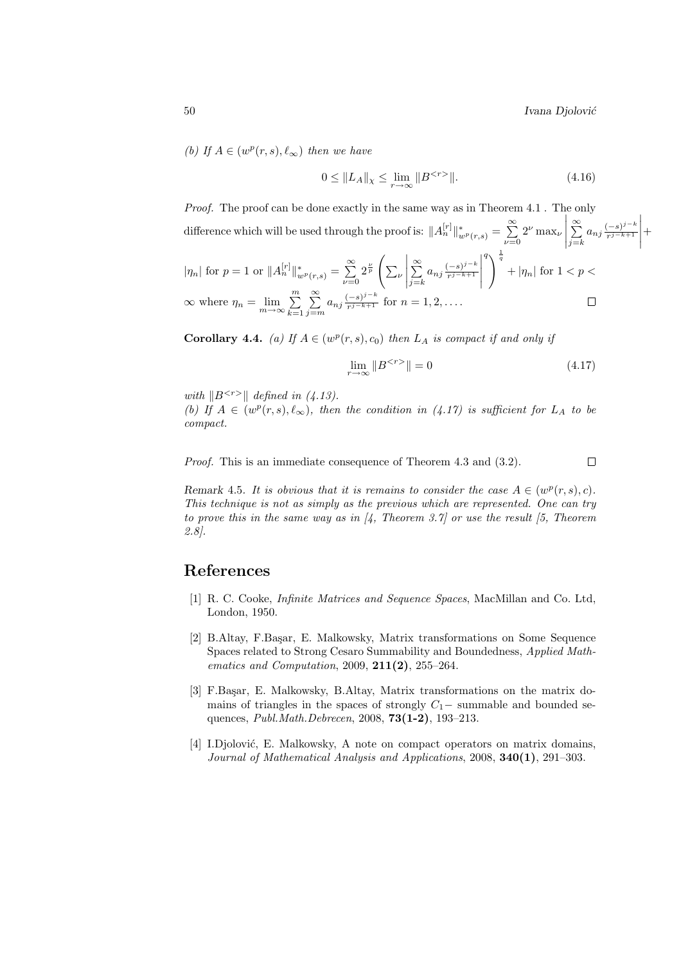$\Big\}$ 

(b) If 
$$
A \in (w^p(r, s), \ell_{\infty})
$$
 then we have

$$
0 \le \|L_A\|_{\chi} \le \lim_{r \to \infty} \|B^{} \|.
$$
\n(4.16)

Proof. The proof can be done exactly in the same way as in Theorem 4.1. The only difference which will be used through the proof is:  $||A_n^{[r]}||_{w^p(r,s)}^* = \sum_{n=0}^{\infty}$  $\nu = 0$  $2^{\nu}$  max<sub> $\nu$ </sub> ¯ ¯ ¯ ¯  $\approx$  $\sum_{j=k}^{\infty} a_{nj} \frac{(-s)^{j-k}}{r^{j-k+1}}$  $r^{j-k+1}$ 

$$
|\eta_n| \text{ for } p = 1 \text{ or } \|A_n^{[r]}\|_{w^p(r,s)}^* = \sum_{\nu=0}^{\infty} 2^{\frac{\nu}{p}} \left( \sum_{\nu} \left| \sum_{j=k}^{\infty} a_{nj} \frac{(-s)^{j-k}}{r^{j-k+1}} \right|^q \right)^{\frac{1}{q}} + |\eta_n| \text{ for } 1 < p < \infty \text{ where } \eta_n = \lim_{m \to \infty} \sum_{k=1}^m \sum_{j=m}^{\infty} a_{nj} \frac{(-s)^{j-k}}{r^{j-k+1}} \text{ for } n = 1, 2, .... \square
$$

**Corollary 4.4.** (a) If  $A \in (w^p(r, s), c_0)$  then  $L_A$  is compact if and only if

$$
\lim_{r \to \infty} \|B^{} \| = 0 \tag{4.17}
$$

with  $\|B^{< r>} \|$  defined in (4.13).

(b) If  $A \in (w^p(r, s), \ell_\infty)$ , then the condition in (4.17) is sufficient for  $L_A$  to be compact.

Proof. This is an immediate consequence of Theorem 4.3 and (3.2).  $\Box$ 

Remark 4.5. It is obvious that it is remains to consider the case  $A \in (w^p(r, s), c)$ . This technique is not as simply as the previous which are represented. One can try to prove this in the same way as in  $\vert 4$ , Theorem 3.7 or use the result  $\vert 5$ , Theorem 2.8].

# References

- [1] R. C. Cooke, Infinite Matrices and Sequence Spaces, MacMillan and Co. Ltd, London, 1950.
- [2] B.Altay, F.Başar, E. Malkowsky, Matrix transformations on Some Sequence Spaces related to Strong Cesaro Summability and Boundedness, Applied Mathematics and Computation, 2009, 211(2), 255–264.
- [3] F.Başar, E. Malkowsky, B.Altay, Matrix transformations on the matrix domains of triangles in the spaces of strongly  $C_1$  – summable and bounded sequences, Publ.Math.Debrecen, 2008, 73(1-2), 193–213.
- [4] I.Djolović, E. Malkowsky, A note on compact operators on matrix domains, Journal of Mathematical Analysis and Applications, 2008, 340(1), 291–303.